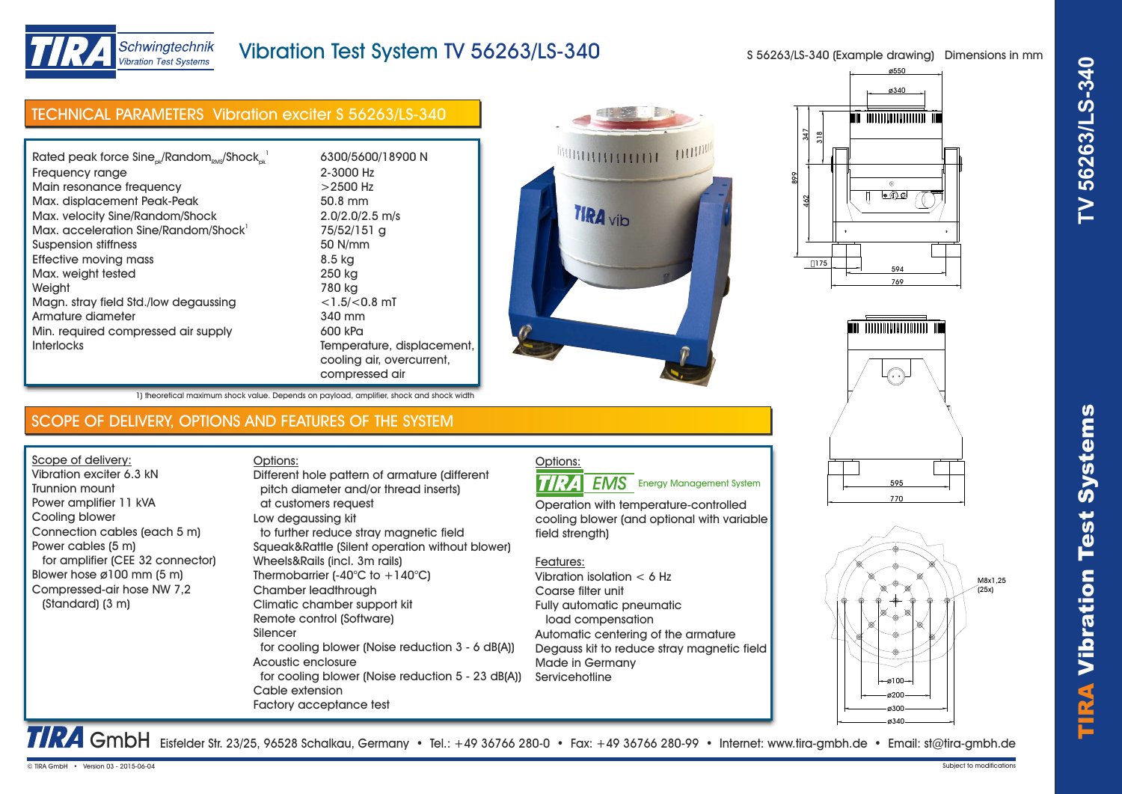



## Schwingtechnik **Vibration Test Systems**

# Vibration Test System TV 56263/LS-340

S 56263/LS-340 (Example drawing) Dimensions in mm

| <b>TECHNICAL PARAMETERS Vibration exciter S 56263/LS-340</b>                                                                                                                                                                                                                                                                                                                                                                                            |                                                                                                                                                                                                                                                                                                                                                                                                                                                                                                                                                                                                                                                                                                                                                                                         |                                                                                                                                                                                                                                                                                                                                                                                                                                | 347<br><u>នា</u>                                                            |
|---------------------------------------------------------------------------------------------------------------------------------------------------------------------------------------------------------------------------------------------------------------------------------------------------------------------------------------------------------------------------------------------------------------------------------------------------------|-----------------------------------------------------------------------------------------------------------------------------------------------------------------------------------------------------------------------------------------------------------------------------------------------------------------------------------------------------------------------------------------------------------------------------------------------------------------------------------------------------------------------------------------------------------------------------------------------------------------------------------------------------------------------------------------------------------------------------------------------------------------------------------------|--------------------------------------------------------------------------------------------------------------------------------------------------------------------------------------------------------------------------------------------------------------------------------------------------------------------------------------------------------------------------------------------------------------------------------|-----------------------------------------------------------------------------|
| Rated peak force $Sine_{ok}/Random_{RMS}/Shock_{ok}^{-1}$<br>Frequency range<br>Main resonance frequency<br>Max. displacement Peak-Peak<br>Max. velocity Sine/Random/Shock<br>Max. acceleration Sine/Random/Shock <sup>1</sup><br><b>Suspension stiffness</b><br><b>Effective moving mass</b><br>Max. weight tested<br>Weight<br>Magn. stray field Std./low degaussing<br>Armature diameter<br>Min. required compressed air supply<br><b>Interlocks</b> | 6300/5600/18900 N<br>2-3000 Hz<br>$>2500$ Hz<br>50.8 mm<br>$2.0/2.0/2.5$ m/s<br>75/52/151 g<br>50 N/mm<br>8.5 kg<br>250 kg<br>780 kg<br>$<$ 1.5/ $<$ 0.8 mT<br>340 mm<br>600 kPa<br>Temperature, displacement,<br>cooling air, overcurrent,<br>compressed air                                                                                                                                                                                                                                                                                                                                                                                                                                                                                                                           | 111111111<br><b>TIRA</b> vib                                                                                                                                                                                                                                                                                                                                                                                                   | $\circledcirc$<br>∣∙©⊙<br>$\frac{2}{3}$<br>$\Box$ 175<br>594<br>769         |
| 1) theoretical maximum shock value. Depends on payload, amplifier, shock and shock width                                                                                                                                                                                                                                                                                                                                                                |                                                                                                                                                                                                                                                                                                                                                                                                                                                                                                                                                                                                                                                                                                                                                                                         |                                                                                                                                                                                                                                                                                                                                                                                                                                |                                                                             |
| SCOPE OF DELIVERY, OPTIONS AND FEATURES OF THE SYSTEM                                                                                                                                                                                                                                                                                                                                                                                                   |                                                                                                                                                                                                                                                                                                                                                                                                                                                                                                                                                                                                                                                                                                                                                                                         |                                                                                                                                                                                                                                                                                                                                                                                                                                |                                                                             |
| Scope of delivery:<br>Vibration exciter 6.3 kN<br>Trunnion mount<br>Power amplifier 11 kVA<br>Cooling blower<br>Connection cables (each 5 m)<br>Power cables (5 m)<br>for amplifier (CEE 32 connector)<br>Blower hose ø100 mm (5 m)<br>Compressed-air hose NW 7,2<br>(Standard) (3 m)                                                                                                                                                                   | Options:<br>Different hole pattern of armature (different<br>pitch diameter and/or thread inserts)<br>at customers request<br>Low degaussing kit<br>to further reduce stray magnetic field<br>Squeak&Rattle (Silent operation without blower)<br>Wheels&Rails (incl. 3m rails)<br>Thermobarrier $(-40^{\circ}C \text{ to } +140^{\circ}C)$<br>Chamber leadthrough<br>Climatic chamber support kit<br>Remote control (Software)<br>Silencer<br>for cooling blower (Noise reduction 3 - 6 dB(A))<br>Acoustic enclosure<br>for cooling blower (Noise reduction 5 - 23 dB(A))<br>Cable extension<br>Factory acceptance test<br>TRA GmbH Eisfelder Str. 23/25, 96528 Schalkau, Germany • Tel.: +49 36766 280-0 • Fax: +49 36766 280-99 • Internet: www.tira-gmbh.de • Email: st@tira-gmbh.de | Options:<br><b>TIRA</b><br><b>EMS</b> Energy Management System<br>Operation with temperature-controlled<br>cooling blower (and optional with variable<br>field strength)<br>Features:<br>Vibration isolation $< 6$ Hz<br>Coarse filter unit<br>Fully automatic pneumatic<br>load compensation<br>Automatic centering of the armature<br>Degauss kit to reduce stray magnetic field<br><b>Made in Germany</b><br>Servicehotline | 595<br>770<br>M8x1,25<br>(25x)<br>$-g100 -$<br>Ø200<br><b>ø300</b><br>ø340- |
| © TIRA GmbH • Version 03 - 2015-06-04                                                                                                                                                                                                                                                                                                                                                                                                                   |                                                                                                                                                                                                                                                                                                                                                                                                                                                                                                                                                                                                                                                                                                                                                                                         |                                                                                                                                                                                                                                                                                                                                                                                                                                | Subject to modifications                                                    |









| -requency range                       | Z-3000 HZ           |
|---------------------------------------|---------------------|
| Vlain resonance frequency             | $>2500$ Hz          |
| Vlax. displacement Peak-Peak          | 50.8 mm             |
| Vlax. velocity Sine/Random/Shock      | $2.0/2.0/2.5$ m/s   |
| Vlax. acceleration Sine/Random/Shock' | 75/52/151 g         |
| Suspension stiffness                  | 50 N/mm             |
| Effective moving mass                 | 8.5 kg              |
| Vlax. weight tested                   | 250 kg              |
| Neiaht                                | 780 kg              |
| Magn. stray field Std./Iow degaussing | $<$ 1.5/ $<$ 0.8 mT |
| Armature diameter                     | 340 mm              |
| Viin. required compressed air supply  | 600 kPa             |
| nterlocks                             | Temperature, di     |
|                                       | cooling air, ove    |
|                                       | compressed air      |

### Options: **EMS** Energy Management System